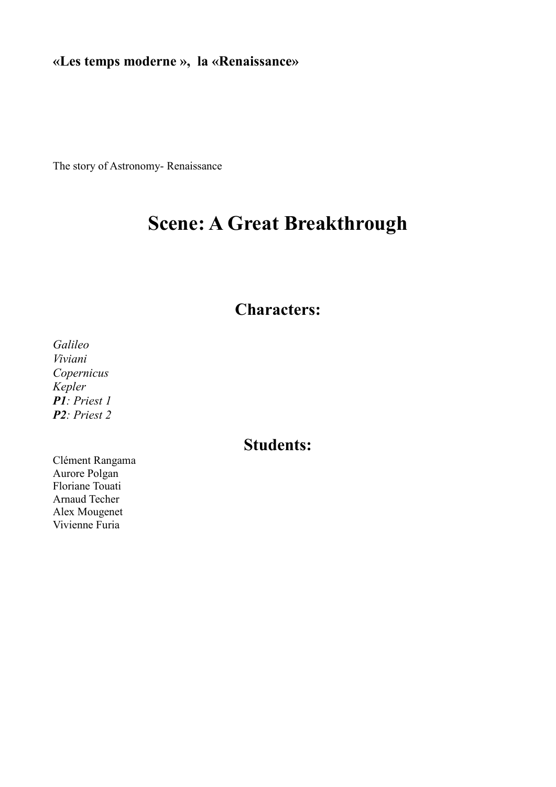**«Les temps moderne », la «Renaissance»**

The story of Astronomy- Renaissance

# **Scene: A Great Breakthrough**

# **Characters:**

*Galileo Viviani Copernicus Kepler P1: Priest 1 P2: Priest 2*

# **Students:**

Clément Rangama Aurore Polgan Floriane Touati Arnaud Techer Alex Mougenet Vivienne Furia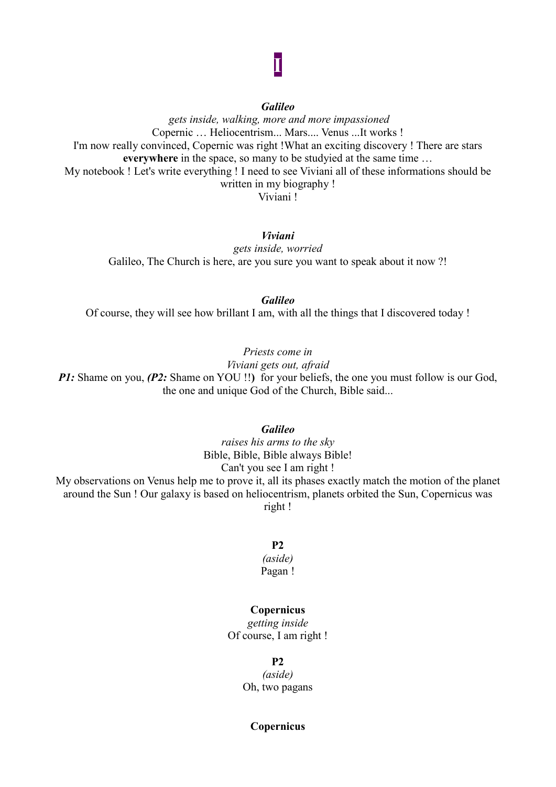#### *Galileo*

**I**

*gets inside, walking, more and more impassioned* Copernic … Heliocentrism... Mars.... Venus ...It works ! I'm now really convinced, Copernic was right !What an exciting discovery ! There are stars **everywhere** in the space, so many to be studyied at the same time … My notebook ! Let's write everything ! I need to see Viviani all of these informations should be written in my biography ! Viviani !

#### *Viviani*

*gets inside, worried* Galileo, The Church is here, are you sure you want to speak about it now ?!

*Galileo* Of course, they will see how brillant I am, with all the things that I discovered today !

*Priests come in*

*Viviani gets out, afraid*

*P1*: Shame on you, *(P2*: Shame on YOU !!) for your beliefs, the one you must follow is our God, the one and unique God of the Church, Bible said...

#### *Galileo*

*raises his arms to the sky* Bible, Bible, Bible always Bible! Can't you see I am right ! My observations on Venus help me to prove it, all its phases exactly match the motion of the planet around the Sun ! Our galaxy is based on heliocentrism, planets orbited the Sun, Copernicus was right !

#### **P2**

#### *(aside)* Pagan !

#### **Copernicus**

*getting inside* Of course, I am right !

#### **P2**

*(aside)* Oh, two pagans

#### **Copernicus**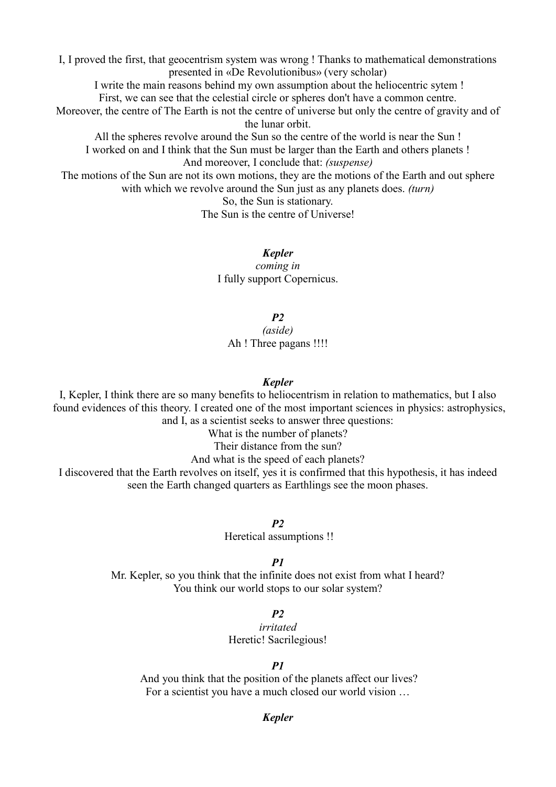I, I proved the first, that geocentrism system was wrong ! Thanks to mathematical demonstrations presented in «De Revolutionibus» (very scholar)

I write the main reasons behind my own assumption about the heliocentric sytem ! First, we can see that the celestial circle or spheres don't have a common centre.

Moreover, the centre of The Earth is not the centre of universe but only the centre of gravity and of the lunar orbit.

All the spheres revolve around the Sun so the centre of the world is near the Sun ! I worked on and I think that the Sun must be larger than the Earth and others planets ! And moreover, I conclude that: *(suspense)*

The motions of the Sun are not its own motions, they are the motions of the Earth and out sphere with which we revolve around the Sun just as any planets does. *(turn)*

> So, the Sun is stationary. The Sun is the centre of Universe!

> > *Kepler coming in* I fully support Copernicus.

> > > *P2*

*(aside)* Ah ! Three pagans !!!!

#### *Kepler*

I, Kepler, I think there are so many benefits to heliocentrism in relation to mathematics, but I also found evidences of this theory. I created one of the most important sciences in physics: astrophysics, and I, as a scientist seeks to answer three questions:

What is the number of planets?

Their distance from the sun?

And what is the speed of each planets?

I discovered that the Earth revolves on itself, yes it is confirmed that this hypothesis, it has indeed seen the Earth changed quarters as Earthlings see the moon phases.

*P2*

Heretical assumptions !!

*P1*

Mr. Kepler, so you think that the infinite does not exist from what I heard? You think our world stops to our solar system?

*P2*

*irritated* Heretic! Sacrilegious!

#### *P1*

And you think that the position of the planets affect our lives? For a scientist you have a much closed our world vision …

#### *Kepler*